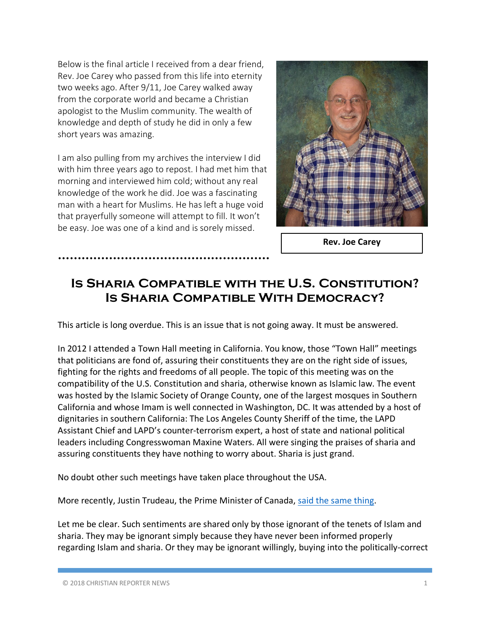Below is the final article I received from a dear friend, Rev. Joe Carey who passed from this life into eternity two weeks ago. After 9/11, Joe Carey walked away from the corporate world and became a Christian apologist to the Muslim community. The wealth of knowledge and depth of study he did in only a few short years was amazing.

I am also pulling from my archives the interview I did with him three years ago to repost. I had met him that morning and interviewed him cold; without any real knowledge of the work he did. Joe was a fascinating man with a heart for Muslims. He has left a huge void that prayerfully someone will attempt to fill. It won't be easy. Joe was one of a kind and is sorely missed.

**………………………………………………**



**Rev. Joe Carey**

# **Is Sharia Compatible with the U.S. Constitution? Is Sharia Compatible With Democracy?**

This article is long overdue. This is an issue that is not going away. It must be answered.

In 2012 I attended a Town Hall meeting in California. You know, those "Town Hall" meetings that politicians are fond of, assuring their constituents they are on the right side of issues, fighting for the rights and freedoms of all people. The topic of this meeting was on the compatibility of the U.S. Constitution and sharia, otherwise known as Islamic law. The event was hosted by the Islamic Society of Orange County, one of the largest mosques in Southern California and whose Imam is well connected in Washington, DC. It was attended by a host of dignitaries in southern California: The Los Angeles County Sheriff of the time, the LAPD Assistant Chief and LAPD's counter-terrorism expert, a host of state and national political leaders including Congresswoman Maxine Waters. All were singing the praises of sharia and assuring constituents they have nothing to worry about. Sharia is just grand.

No doubt other such meetings have taken place throughout the USA.

More recently, Justin Trudeau, the Prime Minister of Canada, said the same thing.

Let me be clear. Such sentiments are shared only by those ignorant of the tenets of Islam and sharia. They may be ignorant simply because they have never been informed properly regarding Islam and sharia. Or they may be ignorant willingly, buying into the politically-correct

© 2018 CHRISTIAN REPORTER NEWS 1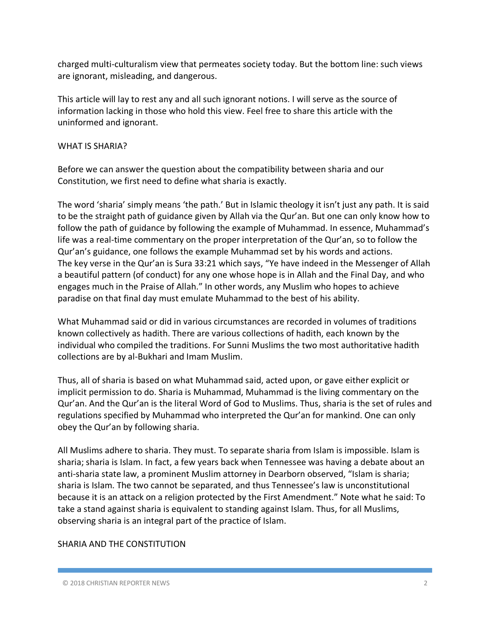charged multi-culturalism view that permeates society today. But the bottom line: such views are ignorant, misleading, and dangerous.

This article will lay to rest any and all such ignorant notions. I will serve as the source of information lacking in those who hold this view. Feel free to share this article with the uninformed and ignorant.

#### WHAT IS SHARIA?

Before we can answer the question about the compatibility between sharia and our Constitution, we first need to define what sharia is exactly.

The word 'sharia' simply means 'the path.' But in Islamic theology it isn't just any path. It is said to be the straight path of guidance given by Allah via the Qur'an. But one can only know how to follow the path of guidance by following the example of Muhammad. In essence, Muhammad's life was a real-time commentary on the proper interpretation of the Qur'an, so to follow the Qur'an's guidance, one follows the example Muhammad set by his words and actions. The key verse in the Qur'an is Sura 33:21 which says, "Ye have indeed in the Messenger of Allah a beautiful pattern (of conduct) for any one whose hope is in Allah and the Final Day, and who engages much in the Praise of Allah." In other words, any Muslim who hopes to achieve paradise on that final day must emulate Muhammad to the best of his ability.

What Muhammad said or did in various circumstances are recorded in volumes of traditions known collectively as hadith. There are various collections of hadith, each known by the individual who compiled the traditions. For Sunni Muslims the two most authoritative hadith collections are by al-Bukhari and Imam Muslim.

Thus, all of sharia is based on what Muhammad said, acted upon, or gave either explicit or implicit permission to do. Sharia is Muhammad, Muhammad is the living commentary on the Qur'an. And the Qur'an is the literal Word of God to Muslims. Thus, sharia is the set of rules and regulations specified by Muhammad who interpreted the Qur'an for mankind. One can only obey the Qur'an by following sharia.

All Muslims adhere to sharia. They must. To separate sharia from Islam is impossible. Islam is sharia; sharia is Islam. In fact, a few years back when Tennessee was having a debate about an anti-sharia state law, a prominent Muslim attorney in Dearborn observed, "Islam is sharia; sharia is Islam. The two cannot be separated, and thus Tennessee's law is unconstitutional because it is an attack on a religion protected by the First Amendment." Note what he said: To take a stand against sharia is equivalent to standing against Islam. Thus, for all Muslims, observing sharia is an integral part of the practice of Islam.

### SHARIA AND THE CONSTITUTION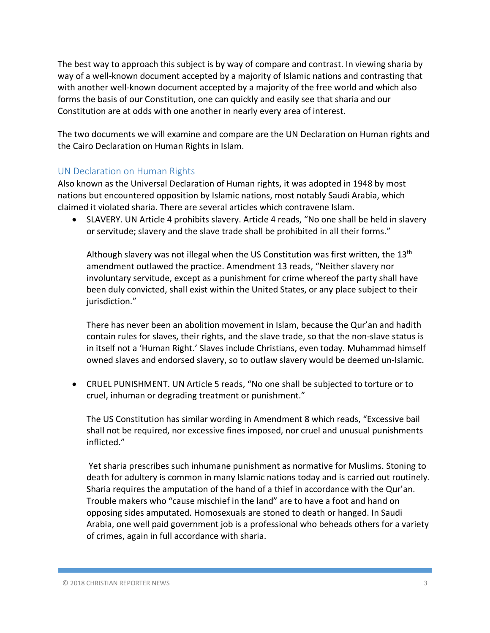The best way to approach this subject is by way of compare and contrast. In viewing sharia by way of a well-known document accepted by a majority of Islamic nations and contrasting that with another well-known document accepted by a majority of the free world and which also forms the basis of our Constitution, one can quickly and easily see that sharia and our Constitution are at odds with one another in nearly every area of interest.

The two documents we will examine and compare are the UN Declaration on Human rights and the Cairo Declaration on Human Rights in Islam.

### UN Declaration on Human Rights

Also known as the Universal Declaration of Human rights, it was adopted in 1948 by most nations but encountered opposition by Islamic nations, most notably Saudi Arabia, which claimed it violated sharia. There are several articles which contravene Islam.

• SLAVERY. UN Article 4 prohibits slavery. Article 4 reads, "No one shall be held in slavery or servitude; slavery and the slave trade shall be prohibited in all their forms."

Although slavery was not illegal when the US Constitution was first written, the  $13<sup>th</sup>$ amendment outlawed the practice. Amendment 13 reads, "Neither slavery nor involuntary servitude, except as a punishment for crime whereof the party shall have been duly convicted, shall exist within the United States, or any place subject to their jurisdiction."

There has never been an abolition movement in Islam, because the Qur'an and hadith contain rules for slaves, their rights, and the slave trade, so that the non-slave status is in itself not a 'Human Right.' Slaves include Christians, even today. Muhammad himself owned slaves and endorsed slavery, so to outlaw slavery would be deemed un-Islamic.

• CRUEL PUNISHMENT. UN Article 5 reads, "No one shall be subjected to torture or to cruel, inhuman or degrading treatment or punishment."

The US Constitution has similar wording in Amendment 8 which reads, "Excessive bail shall not be required, nor excessive fines imposed, nor cruel and unusual punishments inflicted."

Yet sharia prescribes such inhumane punishment as normative for Muslims. Stoning to death for adultery is common in many Islamic nations today and is carried out routinely. Sharia requires the amputation of the hand of a thief in accordance with the Qur'an. Trouble makers who "cause mischief in the land" are to have a foot and hand on opposing sides amputated. Homosexuals are stoned to death or hanged. In Saudi Arabia, one well paid government job is a professional who beheads others for a variety of crimes, again in full accordance with sharia.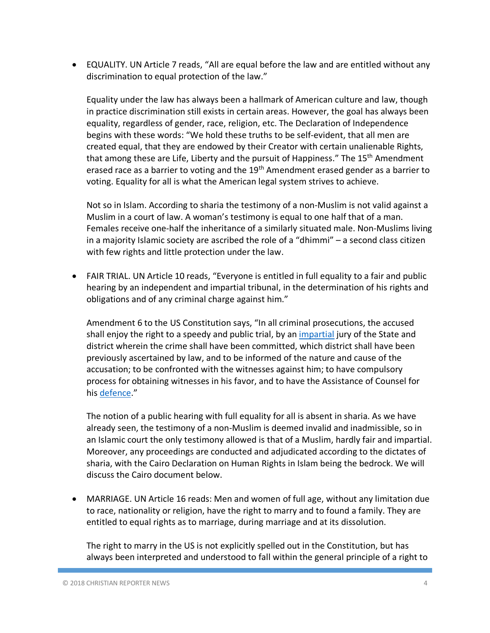• EQUALITY. UN Article 7 reads, "All are equal before the law and are entitled without any discrimination to equal protection of the law."

Equality under the law has always been a hallmark of American culture and law, though in practice discrimination still exists in certain areas. However, the goal has always been equality, regardless of gender, race, religion, etc. The Declaration of Independence begins with these words: "We hold these truths to be self-evident, that all men are created equal, that they are endowed by their Creator with certain unalienable Rights, that among these are Life, Liberty and the pursuit of Happiness." The 15<sup>th</sup> Amendment erased race as a barrier to voting and the 19<sup>th</sup> Amendment erased gender as a barrier to voting. Equality for all is what the American legal system strives to achieve.

Not so in Islam. According to sharia the testimony of a non-Muslim is not valid against a Muslim in a court of law. A woman's testimony is equal to one half that of a man. Females receive one-half the inheritance of a similarly situated male. Non-Muslims living in a majority Islamic society are ascribed the role of a "dhimmi" – a second class citizen with few rights and little protection under the law.

• FAIR TRIAL. UN Article 10 reads, "Everyone is entitled in full equality to a fair and public hearing by an independent and impartial tribunal, in the determination of his rights and obligations and of any criminal charge against him."

Amendment 6 to the US Constitution says, "In all criminal prosecutions, the accused shall enjoy the right to a speedy and public trial, by an impartial jury of the State and district wherein the crime shall have been committed, which district shall have been previously ascertained by law, and to be informed of the nature and cause of the accusation; to be confronted with the witnesses against him; to have compulsory process for obtaining witnesses in his favor, and to have the Assistance of Counsel for his defence."

The notion of a public hearing with full equality for all is absent in sharia. As we have already seen, the testimony of a non-Muslim is deemed invalid and inadmissible, so in an Islamic court the only testimony allowed is that of a Muslim, hardly fair and impartial. Moreover, any proceedings are conducted and adjudicated according to the dictates of sharia, with the Cairo Declaration on Human Rights in Islam being the bedrock. We will discuss the Cairo document below.

• MARRIAGE. UN Article 16 reads: Men and women of full age, without any limitation due to race, nationality or religion, have the right to marry and to found a family. They are entitled to equal rights as to marriage, during marriage and at its dissolution.

The right to marry in the US is not explicitly spelled out in the Constitution, but has always been interpreted and understood to fall within the general principle of a right to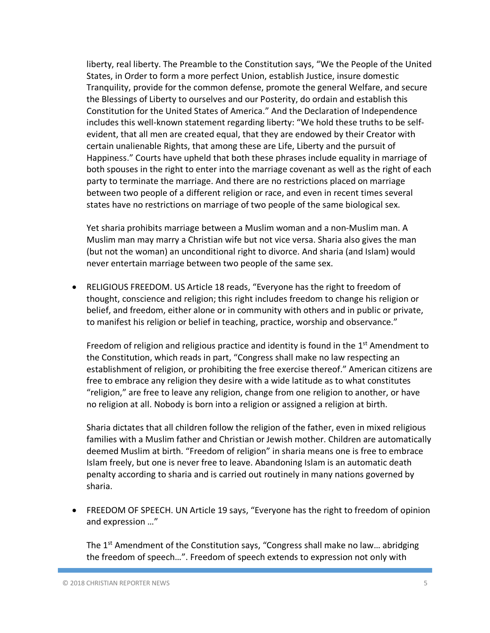liberty, real liberty. The Preamble to the Constitution says, "We the People of the United States, in Order to form a more perfect Union, establish Justice, insure domestic Tranquility, provide for the common defense, promote the general Welfare, and secure the Blessings of Liberty to ourselves and our Posterity, do ordain and establish this Constitution for the United States of America." And the Declaration of Independence includes this well-known statement regarding liberty: "We hold these truths to be selfevident, that all men are created equal, that they are endowed by their Creator with certain unalienable Rights, that among these are Life, Liberty and the pursuit of Happiness." Courts have upheld that both these phrases include equality in marriage of both spouses in the right to enter into the marriage covenant as well as the right of each party to terminate the marriage. And there are no restrictions placed on marriage between two people of a different religion or race, and even in recent times several states have no restrictions on marriage of two people of the same biological sex.

Yet sharia prohibits marriage between a Muslim woman and a non-Muslim man. A Muslim man may marry a Christian wife but not vice versa. Sharia also gives the man (but not the woman) an unconditional right to divorce. And sharia (and Islam) would never entertain marriage between two people of the same sex.

• RELIGIOUS FREEDOM. US Article 18 reads, "Everyone has the right to freedom of thought, conscience and religion; this right includes freedom to change his religion or belief, and freedom, either alone or in community with others and in public or private, to manifest his religion or belief in teaching, practice, worship and observance."

Freedom of religion and religious practice and identity is found in the  $1<sup>st</sup>$  Amendment to the Constitution, which reads in part, "Congress shall make no law respecting an establishment of religion, or prohibiting the free exercise thereof." American citizens are free to embrace any religion they desire with a wide latitude as to what constitutes "religion," are free to leave any religion, change from one religion to another, or have no religion at all. Nobody is born into a religion or assigned a religion at birth.

Sharia dictates that all children follow the religion of the father, even in mixed religious families with a Muslim father and Christian or Jewish mother. Children are automatically deemed Muslim at birth. "Freedom of religion" in sharia means one is free to embrace Islam freely, but one is never free to leave. Abandoning Islam is an automatic death penalty according to sharia and is carried out routinely in many nations governed by sharia.

• FREEDOM OF SPEECH. UN Article 19 says, "Everyone has the right to freedom of opinion and expression …"

The 1<sup>st</sup> Amendment of the Constitution says, "Congress shall make no law... abridging the freedom of speech…". Freedom of speech extends to expression not only with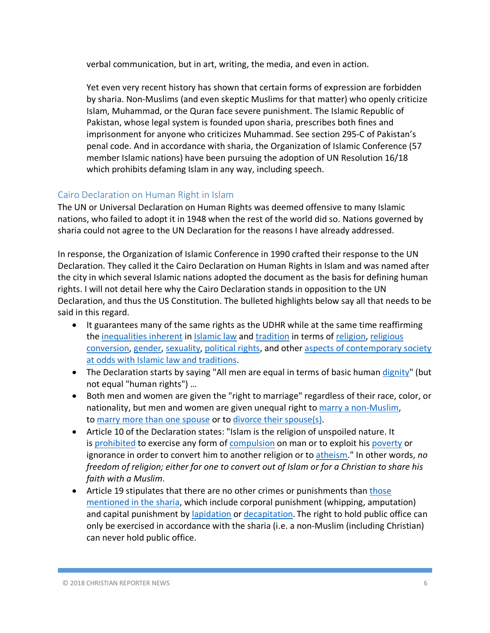verbal communication, but in art, writing, the media, and even in action.

Yet even very recent history has shown that certain forms of expression are forbidden by sharia. Non-Muslims (and even skeptic Muslims for that matter) who openly criticize Islam, Muhammad, or the Quran face severe punishment. The Islamic Republic of Pakistan, whose legal system is founded upon sharia, prescribes both fines and imprisonment for anyone who criticizes Muhammad. See section 295-C of Pakistan's penal code. And in accordance with sharia, the Organization of Islamic Conference (57 member Islamic nations) have been pursuing the adoption of UN Resolution 16/18 which prohibits defaming Islam in any way, including speech.

## Cairo Declaration on Human Right in Islam

The UN or Universal Declaration on Human Rights was deemed offensive to many Islamic nations, who failed to adopt it in 1948 when the rest of the world did so. Nations governed by sharia could not agree to the UN Declaration for the reasons I have already addressed.

In response, the Organization of Islamic Conference in 1990 crafted their response to the UN Declaration. They called it the Cairo Declaration on Human Rights in Islam and was named after the city in which several Islamic nations adopted the document as the basis for defining human rights. I will not detail here why the Cairo Declaration stands in opposition to the UN Declaration, and thus the US Constitution. The bulleted highlights below say all that needs to be said in this regard.

- It guarantees many of the same rights as the UDHR while at the same time reaffirming the inequalities inherent in Islamic law and tradition in terms of religion, religious conversion, gender, sexuality, political rights, and other aspects of contemporary society at odds with Islamic law and traditions.
- The Declaration starts by saying "All men are equal in terms of basic human dignity" (but not equal "human rights") …
- Both men and women are given the "right to marriage" regardless of their race, color, or nationality, but men and women are given unequal right to marry a non-Muslim, to marry more than one spouse or to divorce their spouse(s).
- Article 10 of the Declaration states: "Islam is the religion of unspoiled nature. It is prohibited to exercise any form of compulsion on man or to exploit his poverty or ignorance in order to convert him to another religion or to atheism." In other words, *no freedom of religion; either for one to convert out of Islam or for a Christian to share his faith with a Muslim*.
- Article 19 stipulates that there are no other crimes or punishments than those mentioned in the sharia, which include corporal punishment (whipping, amputation) and capital punishment by lapidation or decapitation. The right to hold public office can only be exercised in accordance with the sharia (i.e. a non-Muslim (including Christian) can never hold public office.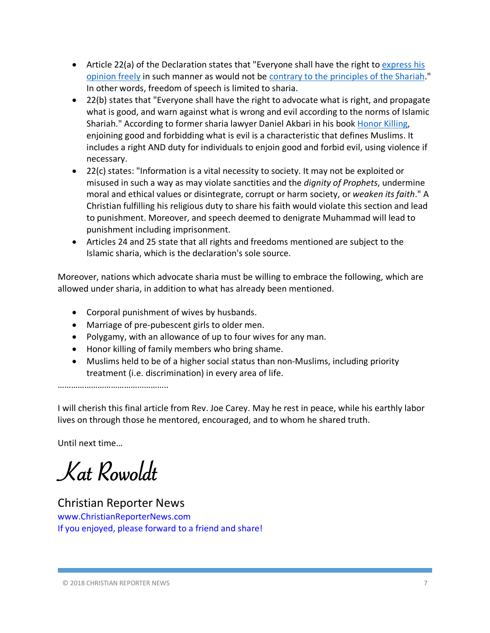- Article 22(a) of the Declaration states that "Everyone shall have the right to express his opinion freely in such manner as would not be contrary to the principles of the Shariah." In other words, freedom of speech is limited to sharia.
- 22(b) states that "Everyone shall have the right to advocate what is right, and propagate what is good, and warn against what is wrong and evil according to the norms of Islamic Shariah." According to former sharia lawyer Daniel Akbari in his book Honor Killing, enjoining good and forbidding what is evil is a characteristic that defines Muslims. It includes a right AND duty for individuals to enjoin good and forbid evil, using violence if necessary.
- 22(c) states: "Information is a vital necessity to society. It may not be exploited or misused in such a way as may violate sanctities and the *dignity of Prophets*, undermine moral and ethical values or disintegrate, corrupt or harm society, or *weaken its faith*." A Christian fulfilling his religious duty to share his faith would violate this section and lead to punishment. Moreover, and speech deemed to denigrate Muhammad will lead to punishment including imprisonment.
- Articles 24 and 25 state that all rights and freedoms mentioned are subject to the Islamic sharia, which is the declaration's sole source.

Moreover, nations which advocate sharia must be willing to embrace the following, which are allowed under sharia, in addition to what has already been mentioned.

- Corporal punishment of wives by husbands.
- Marriage of pre-pubescent girls to older men.
- Polygamy, with an allowance of up to four wives for any man.
- Honor killing of family members who bring shame.
- Muslims held to be of a higher social status than non-Muslims, including priority treatment (i.e. discrimination) in every area of life.

…………………………………………

I will cherish this final article from Rev. Joe Carey. May he rest in peace, while his earthly labor lives on through those he mentored, encouraged, and to whom he shared truth.

Until next time…

Kat Rowoldt

Christian Reporter News www.ChristianReporterNews.com If you enjoyed, please forward to a friend and share!